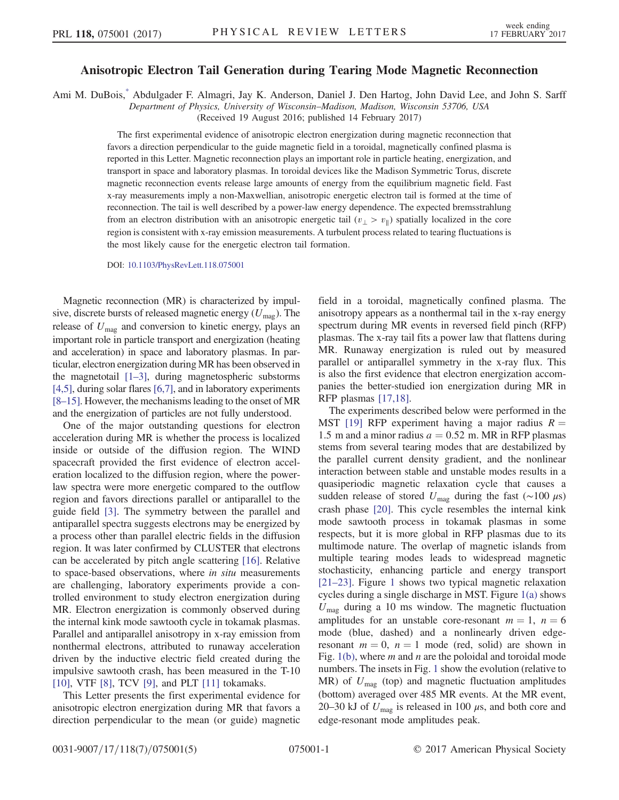## Anisotropic Electron Tail Generation during Tearing Mode Magnetic Reconnection

<span id="page-0-0"></span>Ami M. DuBois[,\\*](#page-4-0) Abdulgader F. Almagri, Jay K. Anderson, Daniel J. Den Hartog, John David Lee, and John S. Sarff

Department of Physics, University of Wisconsin–Madison, Madison, Wisconsin 53706, USA

(Received 19 August 2016; published 14 February 2017)

The first experimental evidence of anisotropic electron energization during magnetic reconnection that favors a direction perpendicular to the guide magnetic field in a toroidal, magnetically confined plasma is reported in this Letter. Magnetic reconnection plays an important role in particle heating, energization, and transport in space and laboratory plasmas. In toroidal devices like the Madison Symmetric Torus, discrete magnetic reconnection events release large amounts of energy from the equilibrium magnetic field. Fast x-ray measurements imply a non-Maxwellian, anisotropic energetic electron tail is formed at the time of reconnection. The tail is well described by a power-law energy dependence. The expected bremsstrahlung from an electron distribution with an anisotropic energetic tail  $(v_{\perp} > v_{\parallel})$  spatially localized in the core region is consistent with x-ray emission measurements. A turbulent process related to tearing fluctuations is the most likely cause for the energetic electron tail formation.

DOI: [10.1103/PhysRevLett.118.075001](http://dx.doi.org/10.1103/PhysRevLett.118.075001)

Magnetic reconnection (MR) is characterized by impulsive, discrete bursts of released magnetic energy  $(U_{\text{mag}})$ . The release of  $U_{\text{mag}}$  and conversion to kinetic energy, plays an important role in particle transport and energization (heating and acceleration) in space and laboratory plasmas. In particular, electron energization during MR has been observed in the magnetotail [\[1](#page-4-1)–3], during magnetospheric substorms [\[4,5\]](#page-4-2), during solar flares [\[6,7\]](#page-4-3), and in laboratory experiments [8–[15\]](#page-4-4). However, the mechanisms leading to the onset of MR and the energization of particles are not fully understood.

One of the major outstanding questions for electron acceleration during MR is whether the process is localized inside or outside of the diffusion region. The WIND spacecraft provided the first evidence of electron acceleration localized to the diffusion region, where the powerlaw spectra were more energetic compared to the outflow region and favors directions parallel or antiparallel to the guide field [\[3\]](#page-4-5). The symmetry between the parallel and antiparallel spectra suggests electrons may be energized by a process other than parallel electric fields in the diffusion region. It was later confirmed by CLUSTER that electrons can be accelerated by pitch angle scattering [\[16\].](#page-4-6) Relative to space-based observations, where in situ measurements are challenging, laboratory experiments provide a controlled environment to study electron energization during MR. Electron energization is commonly observed during the internal kink mode sawtooth cycle in tokamak plasmas. Parallel and antiparallel anisotropy in x-ray emission from nonthermal electrons, attributed to runaway acceleration driven by the inductive electric field created during the impulsive sawtooth crash, has been measured in the T-10 [\[10\]](#page-4-7), VTF [\[8\],](#page-4-4) TCV [\[9\],](#page-4-8) and PLT [\[11\]](#page-4-9) tokamaks.

This Letter presents the first experimental evidence for anisotropic electron energization during MR that favors a direction perpendicular to the mean (or guide) magnetic field in a toroidal, magnetically confined plasma. The anisotropy appears as a nonthermal tail in the x-ray energy spectrum during MR events in reversed field pinch (RFP) plasmas. The x-ray tail fits a power law that flattens during MR. Runaway energization is ruled out by measured parallel or antiparallel symmetry in the x-ray flux. This is also the first evidence that electron energization accompanies the better-studied ion energization during MR in RFP plasmas [\[17,18\].](#page-4-10)

The experiments described below were performed in the MST [\[19\]](#page-4-11) RFP experiment having a major radius  $R =$ 1.5 m and a minor radius  $a = 0.52$  m. MR in RFP plasmas stems from several tearing modes that are destabilized by the parallel current density gradient, and the nonlinear interaction between stable and unstable modes results in a quasiperiodic magnetic relaxation cycle that causes a sudden release of stored  $U_{\text{mag}}$  during the fast (~100  $\mu$ s) crash phase [\[20\].](#page-4-12) This cycle resembles the internal kink mode sawtooth process in tokamak plasmas in some respects, but it is more global in RFP plasmas due to its multimode nature. The overlap of magnetic islands from multiple tearing modes leads to widespread magnetic stochasticity, enhancing particle and energy transport [\[21](#page-4-13)–23]. Figure [1](#page-1-0) shows two typical magnetic relaxation cycles during a single discharge in MST. Figure [1\(a\)](#page-1-0) shows  $U_{\text{mag}}$  during a 10 ms window. The magnetic fluctuation amplitudes for an unstable core-resonant  $m = 1$ ,  $n = 6$ mode (blue, dashed) and a nonlinearly driven edgeresonant  $m = 0$ ,  $n = 1$  mode (red, solid) are shown in Fig. [1\(b\),](#page-1-0) where  $m$  and  $n$  are the poloidal and toroidal mode numbers. The insets in Fig. [1](#page-1-0) show the evolution (relative to MR) of  $U_{\text{mag}}$  (top) and magnetic fluctuation amplitudes (bottom) averaged over 485 MR events. At the MR event, 20–30 kJ of  $U_{\text{mag}}$  is released in 100  $\mu$ s, and both core and edge-resonant mode amplitudes peak.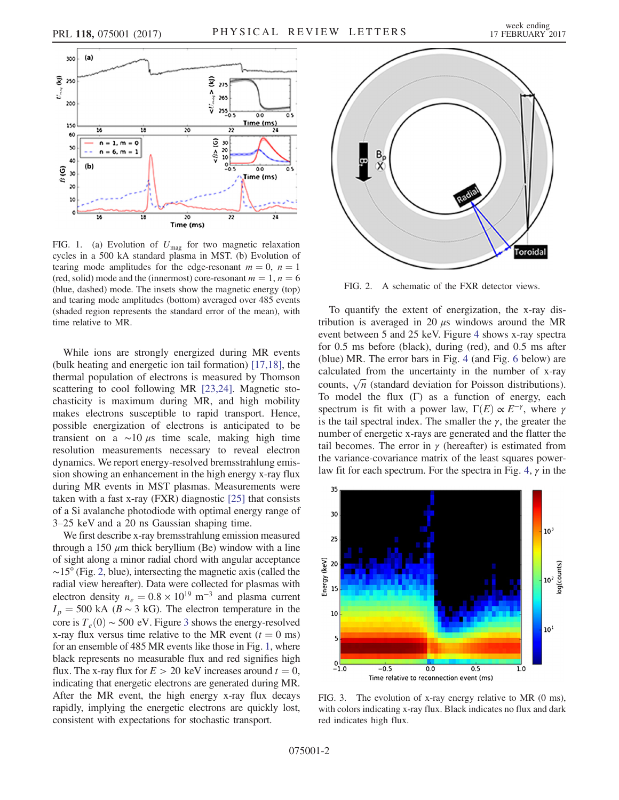<span id="page-1-0"></span>

FIG. 1. (a) Evolution of  $U_{\text{mag}}$  for two magnetic relaxation cycles in a 500 kA standard plasma in MST. (b) Evolution of tearing mode amplitudes for the edge-resonant  $m = 0$ ,  $n = 1$ (red, solid) mode and the (innermost) core-resonant  $m = 1, n = 6$ (blue, dashed) mode. The insets show the magnetic energy (top) and tearing mode amplitudes (bottom) averaged over 485 events (shaded region represents the standard error of the mean), with time relative to MR.

While ions are strongly energized during MR events (bulk heating and energetic ion tail formation) [\[17,18\],](#page-4-10) the thermal population of electrons is measured by Thomson scattering to cool following MR [\[23,24\].](#page-4-14) Magnetic stochasticity is maximum during MR, and high mobility makes electrons susceptible to rapid transport. Hence, possible energization of electrons is anticipated to be transient on a  $\sim$ 10 μs time scale, making high time resolution measurements necessary to reveal electron dynamics. We report energy-resolved bremsstrahlung emission showing an enhancement in the high energy x-ray flux during MR events in MST plasmas. Measurements were taken with a fast x-ray (FXR) diagnostic [\[25\]](#page-4-15) that consists of a Si avalanche photodiode with optimal energy range of 3–25 keV and a 20 ns Gaussian shaping time.

We first describe x-ray bremsstrahlung emission measured through a 150  $\mu$ m thick beryllium (Be) window with a line of sight along a minor radial chord with angular acceptance ∼15° (Fig. [2](#page-1-1), blue), intersecting the magnetic axis (called the radial view hereafter). Data were collected for plasmas with electron density  $n_e = 0.8 \times 10^{19} \text{ m}^{-3}$  and plasma current  $I_p = 500$  kA ( $B \sim 3$  kG). The electron temperature in the core is  $T_e(0) \sim 500$  eV. Figure [3](#page-1-2) shows the energy-resolved x-ray flux versus time relative to the MR event ( $t = 0$  ms) for an ensemble of 485 MR events like those in Fig. [1](#page-1-0), where black represents no measurable flux and red signifies high flux. The x-ray flux for  $E > 20$  keV increases around  $t = 0$ , indicating that energetic electrons are generated during MR. After the MR event, the high energy x-ray flux decays rapidly, implying the energetic electrons are quickly lost, consistent with expectations for stochastic transport.

<span id="page-1-1"></span>

FIG. 2. A schematic of the FXR detector views.

To quantify the extent of energization, the x-ray distribution is averaged in 20  $\mu$ s windows around the MR event between 5 and 25 keV. Figure [4](#page-2-0) shows x-ray spectra for 0.5 ms before (black), during (red), and 0.5 ms after (blue) MR. The error bars in Fig. [4](#page-2-0) (and Fig. [6](#page-3-0) below) are calculated from the uncertainty in the number of x-ray calculated from the uncertainty in the number of x-ray counts,  $\sqrt{n}$  (standard deviation for Poisson distributions). To model the flux  $(Γ)$  as a function of energy, each spectrum is fit with a power law,  $\Gamma(E) \propto E^{-\gamma}$ , where  $\gamma$ is the tail spectral index. The smaller the  $\gamma$ , the greater the number of energetic x-rays are generated and the flatter the tail becomes. The error in  $\gamma$  (hereafter) is estimated from the variance-covariance matrix of the least squares power-law fit for each spectrum. For the spectra in Fig. [4,](#page-2-0)  $\gamma$  in the

<span id="page-1-2"></span>

FIG. 3. The evolution of x-ray energy relative to MR (0 ms), with colors indicating x-ray flux. Black indicates no flux and dark red indicates high flux.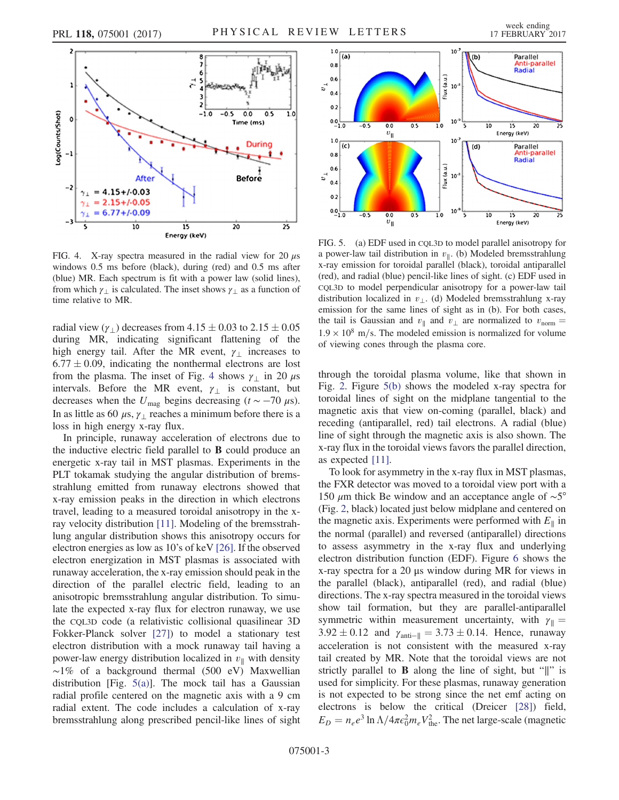<span id="page-2-0"></span>

FIG. 4. X-ray spectra measured in the radial view for 20  $\mu$ s windows 0.5 ms before (black), during (red) and 0.5 ms after (blue) MR. Each spectrum is fit with a power law (solid lines), from which  $\gamma_1$  is calculated. The inset shows  $\gamma_1$  as a function of time relative to MR.

radial view ( $\gamma_{\perp}$ ) decreases from  $4.15 \pm 0.03$  to  $2.15 \pm 0.05$ during MR, indicating significant flattening of the high energy tail. After the MR event,  $\gamma_{\perp}$  increases to  $6.77 \pm 0.09$ , indicating the nonthermal electrons are lost from the plasma. The inset of Fig. [4](#page-2-0) shows  $\gamma_{\perp}$  in 20  $\mu$ s intervals. Before the MR event,  $\gamma_{\perp}$  is constant, but decreases when the  $U_{\text{mag}}$  begins decreasing (t ~ −70  $\mu$ s). In as little as 60  $\mu$ s,  $\gamma_1$  reaches a minimum before there is a loss in high energy x-ray flux.

In principle, runaway acceleration of electrons due to the inductive electric field parallel to B could produce an energetic x-ray tail in MST plasmas. Experiments in the PLT tokamak studying the angular distribution of bremsstrahlung emitted from runaway electrons showed that x-ray emission peaks in the direction in which electrons travel, leading to a measured toroidal anisotropy in the xray velocity distribution [\[11\]](#page-4-9). Modeling of the bremsstrahlung angular distribution shows this anisotropy occurs for electron energies as low as 10's of keV [\[26\].](#page-4-16) If the observed electron energization in MST plasmas is associated with runaway acceleration, the x-ray emission should peak in the direction of the parallel electric field, leading to an anisotropic bremsstrahlung angular distribution. To simulate the expected x-ray flux for electron runaway, we use the CQL3D code (a relativistic collisional quasilinear 3D Fokker-Planck solver [\[27\]](#page-4-17)) to model a stationary test electron distribution with a mock runaway tail having a power-law energy distribution localized in  $v_{\parallel}$  with density ∼1% of a background thermal (500 eV) Maxwellian distribution [Fig. [5\(a\)\]](#page-2-1). The mock tail has a Gaussian radial profile centered on the magnetic axis with a 9 cm radial extent. The code includes a calculation of x-ray bremsstrahlung along prescribed pencil-like lines of sight

<span id="page-2-1"></span>

FIG. 5. (a) EDF used in CQL3D to model parallel anisotropy for a power-law tail distribution in  $v_{\parallel}$ . (b) Modeled bremsstrahlung x-ray emission for toroidal parallel (black), toroidal antiparallel (red), and radial (blue) pencil-like lines of sight. (c) EDF used in CQL3D to model perpendicular anisotropy for a power-law tail distribution localized in  $v_{\perp}$ . (d) Modeled bremsstrahlung x-ray emission for the same lines of sight as in (b). For both cases, the tail is Gaussian and  $v_{\parallel}$  and  $v_{\perp}$  are normalized to  $v_{\text{norm}} =$  $1.9 \times 10^8$  m/s. The modeled emission is normalized for volume of viewing cones through the plasma core.

through the toroidal plasma volume, like that shown in Fig. [2](#page-1-1). Figure [5\(b\)](#page-2-1) shows the modeled x-ray spectra for toroidal lines of sight on the midplane tangential to the magnetic axis that view on-coming (parallel, black) and receding (antiparallel, red) tail electrons. A radial (blue) line of sight through the magnetic axis is also shown. The x-ray flux in the toroidal views favors the parallel direction, as expected [\[11\]](#page-4-9).

To look for asymmetry in the x-ray flux in MST plasmas, the FXR detector was moved to a toroidal view port with a 150 μm thick Be window and an acceptance angle of ∼5° (Fig. [2,](#page-1-1) black) located just below midplane and centered on the magnetic axis. Experiments were performed with  $E_{\parallel}$  in the normal (parallel) and reversed (antiparallel) directions to assess asymmetry in the x-ray flux and underlying electron distribution function (EDF). Figure [6](#page-3-0) shows the x-ray spectra for a 20 μs window during MR for views in the parallel (black), antiparallel (red), and radial (blue) directions. The x-ray spectra measured in the toroidal views show tail formation, but they are parallel-antiparallel symmetric within measurement uncertainty, with  $\gamma_{\parallel} =$  $3.92 \pm 0.12$  and  $\gamma_{\text{anti--||}} = 3.73 \pm 0.14$ . Hence, runaway acceleration is not consistent with the measured x-ray tail created by MR. Note that the toroidal views are not strictly parallel to B along the line of sight, but "∥" is used for simplicity. For these plasmas, runaway generation is not expected to be strong since the net emf acting on electrons is below the critical (Dreicer [\[28\]\)](#page-4-18) field,  $E_D = n_e e^3 \ln \Lambda / 4\pi \epsilon_0^2 m_e V_{\text{the}}^2$ . The net large-scale (magnetic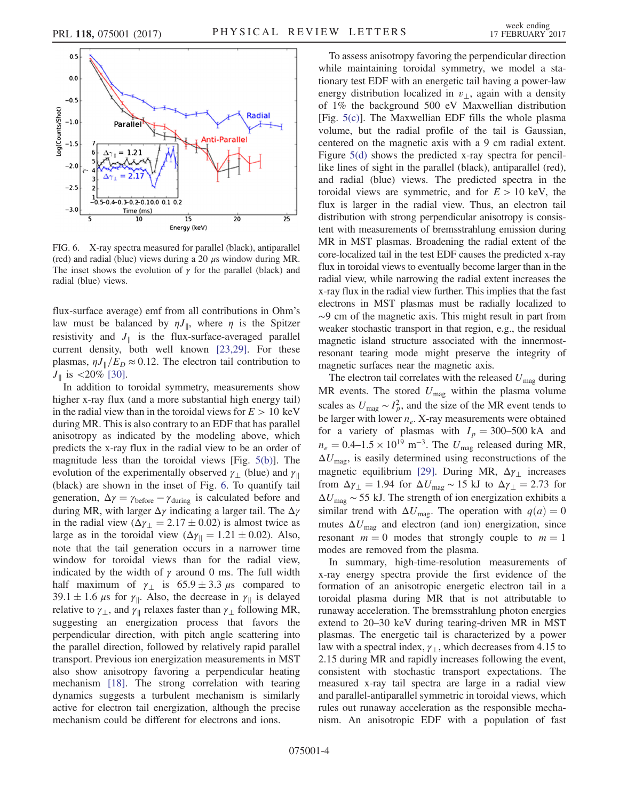<span id="page-3-0"></span>

FIG. 6. X-ray spectra measured for parallel (black), antiparallel (red) and radial (blue) views during a 20  $\mu$ s window during MR. The inset shows the evolution of  $\gamma$  for the parallel (black) and radial (blue) views.

flux-surface average) emf from all contributions in Ohm's law must be balanced by  $\eta J_{\parallel}$ , where  $\eta$  is the Spitzer resistivity and  $J_{\parallel}$  is the flux-surface-averaged parallel current density, both well known [\[23,29\]](#page-4-14). For these plasmas,  $\eta J_{\parallel}/E_D \approx 0.12$ . The electron tail contribution to  $J_{\parallel}$  is <20% [\[30\].](#page-4-19)

In addition to toroidal symmetry, measurements show higher x-ray flux (and a more substantial high energy tail) in the radial view than in the toroidal views for  $E > 10 \text{ keV}$ during MR. This is also contrary to an EDF that has parallel anisotropy as indicated by the modeling above, which predicts the x-ray flux in the radial view to be an order of magnitude less than the toroidal views [Fig. [5\(b\)\]](#page-2-1). The evolution of the experimentally observed  $\gamma_{\perp}$  (blue) and  $\gamma_{\parallel}$ (black) are shown in the inset of Fig. [6.](#page-3-0) To quantify tail generation,  $\Delta \gamma = \gamma_{\text{before}} - \gamma_{\text{during}}$  is calculated before and during MR, with larger  $\Delta \gamma$  indicating a larger tail. The  $\Delta \gamma$ in the radial view  $(\Delta \gamma_{\perp} = 2.17 \pm 0.02)$  is almost twice as large as in the toroidal view  $(\Delta \gamma_{\parallel} = 1.21 \pm 0.02)$ . Also, note that the tail generation occurs in a narrower time window for toroidal views than for the radial view, indicated by the width of  $\gamma$  around 0 ms. The full width half maximum of  $\gamma_{\perp}$  is 65.9 ± 3.3  $\mu$ s compared to 39.1  $\pm$  1.6  $\mu$ s for  $\gamma_{\parallel}$ . Also, the decrease in  $\gamma_{\parallel}$  is delayed relative to  $\gamma_{\perp}$ , and  $\gamma_{\parallel}$  relaxes faster than  $\gamma_{\perp}$  following MR, suggesting an energization process that favors the perpendicular direction, with pitch angle scattering into the parallel direction, followed by relatively rapid parallel transport. Previous ion energization measurements in MST also show anisotropy favoring a perpendicular heating mechanism [\[18\].](#page-4-20) The strong correlation with tearing dynamics suggests a turbulent mechanism is similarly active for electron tail energization, although the precise mechanism could be different for electrons and ions.

To assess anisotropy favoring the perpendicular direction while maintaining toroidal symmetry, we model a stationary test EDF with an energetic tail having a power-law energy distribution localized in  $v_{\perp}$ , again with a density of 1% the background 500 eV Maxwellian distribution [Fig.  $5(c)$ ]. The Maxwellian EDF fills the whole plasma volume, but the radial profile of the tail is Gaussian, centered on the magnetic axis with a 9 cm radial extent. Figure [5\(d\)](#page-2-1) shows the predicted x-ray spectra for pencillike lines of sight in the parallel (black), antiparallel (red), and radial (blue) views. The predicted spectra in the toroidal views are symmetric, and for  $E > 10$  keV, the flux is larger in the radial view. Thus, an electron tail distribution with strong perpendicular anisotropy is consistent with measurements of bremsstrahlung emission during MR in MST plasmas. Broadening the radial extent of the core-localized tail in the test EDF causes the predicted x-ray flux in toroidal views to eventually become larger than in the radial view, while narrowing the radial extent increases the x-ray flux in the radial view further. This implies that the fast electrons in MST plasmas must be radially localized to ∼9 cm of the magnetic axis. This might result in part from weaker stochastic transport in that region, e.g., the residual magnetic island structure associated with the innermostresonant tearing mode might preserve the integrity of magnetic surfaces near the magnetic axis.

The electron tail correlates with the released  $U_{\text{mag}}$  during MR events. The stored  $U_{\text{mag}}$  within the plasma volume scales as  $U_{\text{mag}} \sim I_p^2$ , and the size of the MR event tends to be larger with lower  $n_e$ . X-ray measurements were obtained for a variety of plasmas with  $I_p = 300-500$  kA and  $n_e = 0.4$ –1.5 × 10<sup>19</sup> m<sup>-3</sup>. The  $U_{\text{mag}}$  released during MR,  $\Delta U_{\text{mag}}$ , is easily determined using reconstructions of the magnetic equilibrium [\[29\]](#page-4-21). During MR,  $\Delta \gamma_{\perp}$  increases from  $\Delta \gamma_{\perp} = 1.94$  for  $\Delta U_{\text{mag}} \sim 15 \text{ kJ}$  to  $\Delta \gamma_{\perp} = 2.73$  for  $\Delta U_{\text{mag}} \sim 55$  kJ. The strength of ion energization exhibits a similar trend with  $\Delta U_{\text{mag}}$ . The operation with  $q(a) = 0$ mutes  $\Delta U_{\text{mag}}$  and electron (and ion) energization, since resonant  $m = 0$  modes that strongly couple to  $m = 1$ modes are removed from the plasma.

In summary, high-time-resolution measurements of x-ray energy spectra provide the first evidence of the formation of an anisotropic energetic electron tail in a toroidal plasma during MR that is not attributable to runaway acceleration. The bremsstrahlung photon energies extend to 20–30 keV during tearing-driven MR in MST plasmas. The energetic tail is characterized by a power law with a spectral index,  $\gamma_1$ , which decreases from 4.15 to 2.15 during MR and rapidly increases following the event, consistent with stochastic transport expectations. The measured x-ray tail spectra are large in a radial view and parallel-antiparallel symmetric in toroidal views, which rules out runaway acceleration as the responsible mechanism. An anisotropic EDF with a population of fast